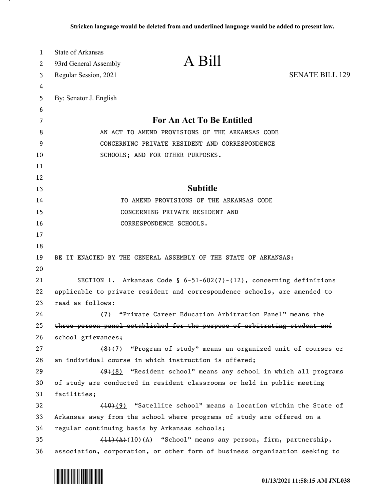| 1        | State of Arkansas      |                                                                                                                                               |                        |
|----------|------------------------|-----------------------------------------------------------------------------------------------------------------------------------------------|------------------------|
| 2        | 93rd General Assembly  | A Bill                                                                                                                                        |                        |
| 3        | Regular Session, 2021  |                                                                                                                                               | <b>SENATE BILL 129</b> |
| 4        |                        |                                                                                                                                               |                        |
| 5        | By: Senator J. English |                                                                                                                                               |                        |
| 6        |                        |                                                                                                                                               |                        |
| 7        |                        | For An Act To Be Entitled                                                                                                                     |                        |
| 8        |                        | AN ACT TO AMEND PROVISIONS OF THE ARKANSAS CODE                                                                                               |                        |
| 9        |                        | CONCERNING PRIVATE RESIDENT AND CORRESPONDENCE                                                                                                |                        |
| 10       |                        | SCHOOLS; AND FOR OTHER PURPOSES.                                                                                                              |                        |
| 11       |                        |                                                                                                                                               |                        |
| 12       |                        |                                                                                                                                               |                        |
| 13       |                        | <b>Subtitle</b>                                                                                                                               |                        |
| 14       |                        | TO AMEND PROVISIONS OF THE ARKANSAS CODE                                                                                                      |                        |
| 15       |                        | CONCERNING PRIVATE RESIDENT AND                                                                                                               |                        |
| 16       |                        | CORRESPONDENCE SCHOOLS.                                                                                                                       |                        |
| 17       |                        |                                                                                                                                               |                        |
| 18       |                        |                                                                                                                                               |                        |
| 19       |                        | BE IT ENACTED BY THE GENERAL ASSEMBLY OF THE STATE OF ARKANSAS:                                                                               |                        |
| 20       |                        |                                                                                                                                               |                        |
| 21       |                        | SECTION 1. Arkansas Code § $6-51-602(7)-(12)$ , concerning definitions                                                                        |                        |
| 22       |                        | applicable to private resident and correspondence schools, are amended to                                                                     |                        |
| 23       | read as follows:       |                                                                                                                                               |                        |
| 24       |                        | (7) "Private Career Education Arbitration Panel" means the                                                                                    |                        |
| 25       |                        | three-person panel established for the purpose of arbitrating student and                                                                     |                        |
| 26       | school grievances;     |                                                                                                                                               |                        |
| 27       |                        | (8)(7) "Program of study" means an organized unit of courses or                                                                               |                        |
| 28       |                        | an individual course in which instruction is offered;                                                                                         |                        |
| 29       |                        | $(9)$ (8) "Resident school" means any school in which all programs                                                                            |                        |
| 30       |                        | of study are conducted in resident classrooms or held in public meeting                                                                       |                        |
| 31       | facilities;            |                                                                                                                                               |                        |
| 32       |                        | (10)(9) "Satellite school" means a location within the State of                                                                               |                        |
| 33       |                        | Arkansas away from the school where programs of study are offered on a                                                                        |                        |
| 34       |                        | regular continuing basis by Arkansas schools;                                                                                                 |                        |
|          |                        |                                                                                                                                               |                        |
| 35<br>36 |                        | $(11)(A)(10)(A)$ "School" means any person, firm, partnership,<br>association, corporation, or other form of business organization seeking to |                        |

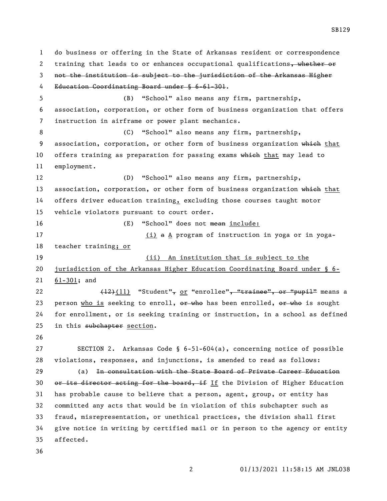do business or offering in the State of Arkansas resident or correspondence 2 training that leads to or enhances occupational qualifications, whether or not the institution is subject to the jurisdiction of the Arkansas Higher Education Coordinating Board under § 6-61-301. (B) "School" also means any firm, partnership, association, corporation, or other form of business organization that offers instruction in airframe or power plant mechanics. (C) "School" also means any firm, partnership, 9 association, corporation, or other form of business organization which that 10 offers training as preparation for passing exams which that may lead to employment. (D) "School" also means any firm, partnership, 13 association, corporation, or other form of business organization which that offers driver education training, excluding those courses taught motor vehicle violators pursuant to court order. (E) "School" does not mean include: 17 (i) a A program of instruction in yoga or in yoga- teacher training; or (ii) An institution that is subject to the jurisdiction of the Arkansas Higher Education Coordinating Board under § 6- 61-301; and  $(12)(11)$  "Student", or "enrollee", "trainee", or "pupil" means a 23 person who is seeking to enroll,  $o$   $\overline{r}$  who has been enrolled,  $o$   $\overline{r}$  who is sought for enrollment, or is seeking training or instruction, in a school as defined 25 in this subchapter section. SECTION 2. Arkansas Code § 6-51-604(a), concerning notice of possible violations, responses, and injunctions, is amended to read as follows: (a) In consultation with the State Board of Private Career Education 30 or its director acting for the board, if If the Division of Higher Education has probable cause to believe that a person, agent, group, or entity has committed any acts that would be in violation of this subchapter such as fraud, misrepresentation, or unethical practices, the division shall first give notice in writing by certified mail or in person to the agency or entity affected.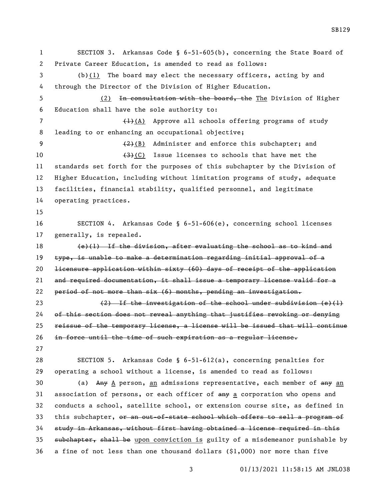SECTION 3. Arkansas Code § 6-51-605(b), concerning the State Board of Private Career Education, is amended to read as follows: (b)(1) The board may elect the necessary officers, acting by and through the Director of the Division of Higher Education. (2) In consultation with the board, the The Division of Higher Education shall have the sole authority to: 7 (1)(A) Approve all schools offering programs of study leading to or enhancing an occupational objective;  $\left(2\right)$  (B) Administer and enforce this subchapter; and  $\left(3\right)$  (C) Issue licenses to schools that have met the standards set forth for the purposes of this subchapter by the Division of Higher Education, including without limitation programs of study, adequate facilities, financial stability, qualified personnel, and legitimate operating practices. SECTION 4. Arkansas Code § 6-51-606(e), concerning school licenses generally, is repealed. (e)(1) If the division, after evaluating the school as to kind and type, is unable to make a determination regarding initial approval of a licensure application within sixty (60) days of receipt of the application and required documentation, it shall issue a temporary license valid for a 22 period of not more than  $six$  (6) months, pending an investigation. (2) If the investigation of the school under subdivision (e)(1) of this section does not reveal anything that justifies revoking or denying reissue of the temporary license, a license will be issued that will continue in force until the time of such expiration as a regular license. SECTION 5. Arkansas Code § 6-51-612(a), concerning penalties for operating a school without a license, is amended to read as follows: 30 (a) Any A person, an admissions representative, each member of any an 31 association of persons, or each officer of  $\frac{any}{a}$  corporation who opens and conducts a school, satellite school, or extension course site, as defined in 33 this subchapter, or an out-of-state school which offers to sell a program of study in Arkansas, without first having obtained a license required in this subchapter, shall be upon conviction is guilty of a misdemeanor punishable by 36 a fine of not less than one thousand dollars  $(\$1,000)$  nor more than five

01/13/2021 11:58:15 AM JNL038

SB129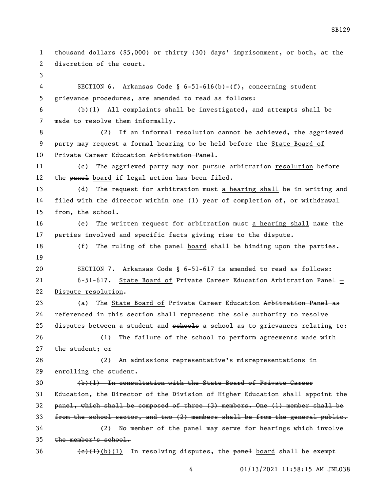thousand dollars (\$5,000) or thirty (30) days' imprisonment, or both, at the discretion of the court. SECTION 6. Arkansas Code § 6-51-616(b)-(f), concerning student grievance procedures, are amended to read as follows: (b)(1) All complaints shall be investigated, and attempts shall be made to resolve them informally. (2) If an informal resolution cannot be achieved, the aggrieved party may request a formal hearing to be held before the State Board of 10 Private Career Education Arbitration Panel. 11 (c) The aggrieved party may not pursue arbitration resolution before 12 the panel board if legal action has been filed. 13 (d) The request for arbitration must a hearing shall be in writing and filed with the director within one (1) year of completion of, or withdrawal from, the school. 16 (e) The written request for arbitration must a hearing shall name the parties involved and specific facts giving rise to the dispute. 18 (f) The ruling of the panel board shall be binding upon the parties. SECTION 7. Arkansas Code § 6-51-617 is amended to read as follows: 21 6-51-617. State Board of Private Career Education Arbitration Panel - Dispute resolution. 23 (a) The State Board of Private Career Education Arbitration Panel as 24 referenced in this section shall represent the sole authority to resolve 25 disputes between a student and sehools a school as to grievances relating to: (1) The failure of the school to perform agreements made with the student; or (2) An admissions representative's misrepresentations in enrolling the student. (b)(1) In consultation with the State Board of Private Career Education, the Director of the Division of Higher Education shall appoint the panel, which shall be composed of three (3) members. One (1) member shall be 33 from the school sector, and two  $(2)$  members shall be from the general public. (2) No member of the panel may serve for hearings which involve the member's school.

36  $\left\{\frac{e}{t}\right\}$  (b)(1) In resolving disputes, the panel board shall be exempt

SB129